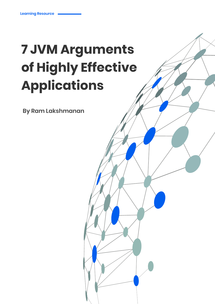# **7 JVM Arguments of Highly Effective Applications**

**By Ram Lakshmanan**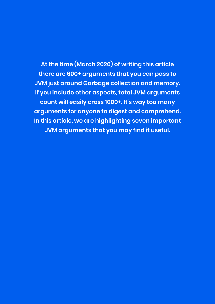**At the time (March 2020) of writing this article there are 600+ arguments that you can pass to JVM just around Garbage collection and memory. If you include other aspects, total JVM arguments count will easily cross 1000+. It's way too many arguments for anyone to digest and comprehend. In this article, we are highlighting seven important JVM arguments that you may find it useful.**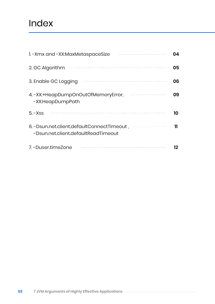### Index

| 1. - Xmx and - XX: Max Metaspace Size                                              | 04 |
|------------------------------------------------------------------------------------|----|
| 2. GC Algorithm                                                                    | 05 |
| 3. Enable GC Logging                                                               | 06 |
| 4. - XX:+HeapDumpOnOutOfMemoryError,<br>-XX:HeapDumpPath                           | 09 |
| $5. - Xss$                                                                         | 10 |
| 6. - Dsun.net.client.defaultConnectTimeout,<br>-Dsun.net.client.defaultReadTimeout | 11 |
| 7. - Duser time Zone                                                               | 12 |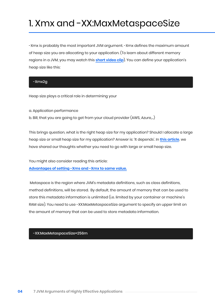## 1. Xmx and -XX:MaxMetaspaceSize

-Xmx is probably the most important JVM argument. -Xmx defines the maximum amount of heap size you are allocating to your application. (To learn about different memory regions in a JVM, you may watch this **[short video clip](https://www.youtube.com/watch?v=uJLOlCuOR4k&t=9s)**). You can define your application's heap size like this:

#### -Xmx2g

Heap size plays a critical role in determining your

a. Application performance b. Bill, that you are going to get from your cloud provider (AWS, Azure,...)

This brings question, what is the right heap size for my application? Should I allocate a large heap size or small heap size for my application? Answer is: 'It depends'. In **[this article](https://blog.heaphero.io/2019/06/21/large-or-small-memory-size-for-my-app/)**, we have shared our thoughts whether you need to go with large or small heap size.

You might also consider reading this article:

**[Advantages of setting -Xms and -Xmx to same value.](https://blog.gceasy.io/2020/03/09/advantages-of-setting-xms-and-xmx-to-same-value/)** 

 Metaspace is the region where JVM's metadata definitions, such as class definitions, method definitions, will be stored. By default, the amount of memory that can be used to store this metadata information is unlimited (i.e. limited by your container or machine's RAM size). You need to use -XX:MaxMetaspaceSize argument to specify an upper limit on the amount of memory that can be used to store metadata information.

-XX:MaxMetaspaceSize=256m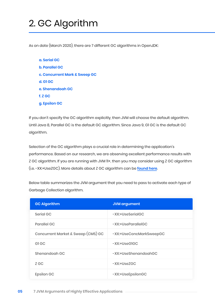# 2. GC Algorithm

As on date (March 2020), there are 7 different GC algorithms in OpenJDK:

**a. Serial GC b. Parallel GC c. Concurrent Mark & Sweep GC d. G1 GC e. Shenandoah GC f. Z GC g. Epsilon GC**

If you don't specify the GC algorithm explicitly, then JVM will choose the default algorithm. Until Java 8, Parallel GC is the default GC algorithm. Since Java 9, G1 GC is the default GC algorithm.

Selection of the GC algorithm plays a crucial role in determining the application's performance. Based on our research, we are observing excellent performance results with Z GC algorithm. If you are running with JVM 11+, then you may consider using Z GC algorithm (i.e. -XX:+UseZGC). More details about Z GC algorithm can be **[found here](https://wiki.openjdk.java.net/display/zgc/Main)**.

Below table summarizes the JVM argument that you need to pass to activate each type of Garbage Collection algorithm.

| <b>GC Algorithm</b>                | <b>JVM</b> argument     |
|------------------------------------|-------------------------|
| Serial GC                          | -XX:+UseSerialGC        |
| <b>Parallel GC</b>                 | -XX:+UseParalleIGC      |
| Concurrent Market & Sweep (CMS) GC | -XX:+UseConcMarkSweepGC |
| GI <sub>GC</sub>                   | $-XX:+UseGIGC$          |
| Shenandoah GC                      | -XX:+UseShenandoahGC    |
| Z GC                               | $-XX:+UseZGC$           |
| <b>Epsilon GC</b>                  | -XX:+UseEpsilonGC       |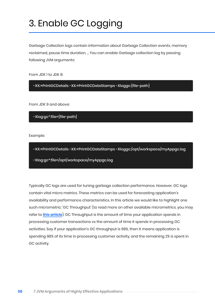# 3. Enable GC Logging

Garbage Collection logs contain information about Garbage Collection events, memory reclaimed, pause time duration, ... You can enable Garbage collection log by passing following JVM arguments:

From JDK 1 to JDK 8:

-XX:+PrintGCDetails -XX:+PrintGCDateStamps -Xloggc:{file-path}

From JDK 9 and above:

-Xlog:gc\*:file={file-path}

Example:

-XX:+PrintGCDetails -XX:+PrintGCDateStamps -Xloggc:/opt/workspace/myAppgc.log -Xlog:gc\*:file=/opt/workspace/myAppgc.log

Typically GC logs are used for tuning garbage collection performance. However, GC logs contain vital micro metrics. These metrics can be used for forecasting application's availability and performance characteristics. In this article we would like to highlight one such micrometric: 'GC Throughput' (to read more on other available micrometrics, you may refer to **[this article](https://blog.gceasy.io/2019/03/13/micrometrics-to-forecast-application-performance/)**). GC Throughput is the amount of time your application spends in processing customer transactions vs the amount of time it spends in processing GC activities. Say if your application's GC throughput is 98%, then it means application is spending 98% of its time in processing customer activity, and the remaining 2% is spent in GC activity.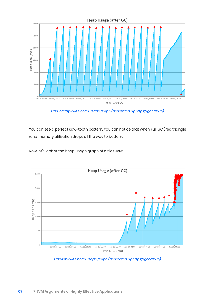

*Fig: Healthy JVM's heap usage graph (generated by https://gceasy.io)*

You can see a perfect saw-tooth pattern. You can notice that when Full GC (red triangle) runs, memory utilization drops all the way to bottom.

Now let's look at the heap usage graph of a sick JVM:



*Fig: Sick JVM's heap usage graph (generated by https://gceasy.io)*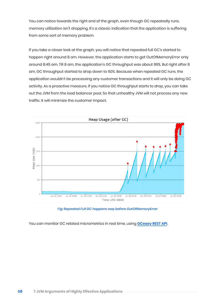You can notice towards the right end of the graph, even though GC repeatedly runs, memory utilization isn't dropping. It's a classic indication that the application is suffering from some sort of memory problem.

If you take a closer look at the graph, you will notice that repeated full GC's started to happen right around 8 am. However, the application starts to get OutOfMemoryError only around 8:45 am. Till 8 am, the application's GC throughput was about 99%. But right after 8 am, GC throughput started to drop down to 60%. Because when repeated GC runs, the application wouldn't be processing any customer transactions and it will only be doing GC activity. As a proactive measure, if you notice GC throughput starts to drop, you can take out the JVM from the load balancer pool. So that unhealthy JVM will not process any new traffic. It will minimize the customer impact.



#### *Fig: Repeated Full GC happens way before OutOfMemoryError*

You can monitor GC related micrometrics in real time, using **[GCeasy REST API](https://www.youtube.com/watch?v=6G0E4O5yxks)**.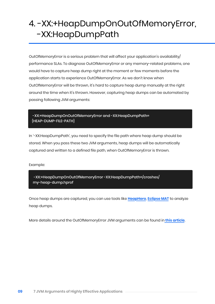### 4. -XX:+HeapDumpOnOutOfMemoryError, -XX:HeapDumpPath

OutOfMemoryError is a serious problem that will affect your application's availability/ performance SLAs. To diagnose OutOfMemoryError or any memory-related problems, one would have to capture heap dump right at the moment or few moments before the application starts to experience OutOfMemoryError. As we don't know when OutOfMemoryError will be thrown, it's hard to capture heap dump manually at the right around the time when it's thrown. However, capturing heap dumps can be automated by passing following JVM arguments:

 -XX:+HeapDumpOnOutOfMemoryError and -XX:HeapDumpPath= {HEAP-DUMP-FILE-PATH}

In '-XX:HeapDumpPath', you need to specify the file path where heap dump should be stored. When you pass these two JVM arguments, heap dumps will be automatically captured and written to a defined file path, when OutOfMemoryError is thrown.

Example:

 -XX:+HeapDumpOnOutOfMemoryError -XX:HeapDumpPath=/crashes/ my-heap-dump.hprof

Once heap dumps are captured, you can use tools like **[HeapHero](https://heaphero.io/)**, **[Eclipse MAT](https://www.eclipse.org/mat/)** to analyze heap dumps.

More details around the OutOfMemoryError JVM arguments can be found in **[this article](https://blog.heaphero.io/2019/06/21/outofmemoryerror-related-jvm-arguments/)**.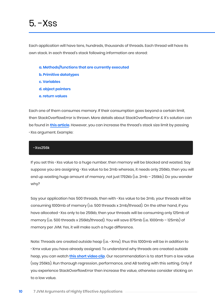### $5 - X$ ss

Each application will have tens, hundreds, thousands of threads. Each thread will have its own stack. In each thread's stack following information are stored:

- **a. Methods/functions that are currently executed**
- **b. Primitive datatypes**
- **c. Variables**
- **d. object pointers**
- **e. return values**

Each one of them consumes memory. If their consumption goes beyond a certain limit, then StackOverflowError is thrown. More details about StackOverflowError & it's solution can be found in **[this article](https://blog.fastthread.io/2018/09/24/stackoverflowerror/)**. However, you can increase the thread's stack size limit by passing -Xss argument. Example:

#### -Xss256k

If you set this -Xss value to a huge number, then memory will be blocked and wasted. Say suppose you are assigning -Xss value to be 2mb whereas, it needs only 256kb, then you will end up wasting huge amount of memory, not just 1792kb (i.e. 2mb – 256kb). Do you wonder why?

Say your application has 500 threads, then with -Xss value to be 2mb, your threads will be consuming 1000mb of memory (i.e. 500 threads x 2mb/thread). On the other hand, if you have allocated -Xss only to be 256kb, then your threads will be consuming only 125mb of memory (i.e. 500 threads x 256kb/thread). You will save 875mb (i.e. 1000mb – 125mb) of memory per JVM. Yes, it will make such a huge difference.

Note: Threads are created outside heap (i.e. -Xmx), thus this 1000mb will be in addition to -Xmx value you have already assigned. To understand why threads are created outside heap, you can watch **[this short video clip](https://www.youtube.com/watch?v=uJLOlCuOR4k&t=9s)**. Our recommendation is to start from a low value (say 256kb). Run thorough regression, performance, and AB testing with this setting. Only if you experience StackOverflowError then increase the value, otherwise consider sticking on to a low value.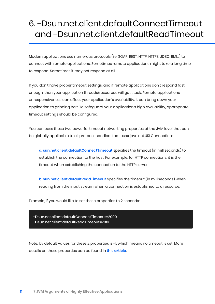### 6. -Dsun.net.client.defaultConnectTimeout and -Dsun.net.client.defaultReadTimeout

Modern applications use numerous protocols (i.e. SOAP, REST, HTTP, HTTPS, JDBC, RMI…) to connect with remote applications. Sometimes remote applications might take a long time to respond. Sometimes it may not respond at all.

If you don't have proper timeout settings, and if remote applications don't respond fast enough, then your application threads/resources will get stuck. Remote applications unresponsiveness can affect your application's availability. It can bring down your application to grinding halt. To safeguard your application's high availability, appropriate timeout settings should be configured.

You can pass these two powerful timeout networking properties at the JVM level that can be globally applicable to all protocol handlers that uses java.net.URLConnection:

**a. sun.net.client.defaultConnectTimeout** specifies the timeout (in milliseconds) to establish the connection to the host. For example, for HTTP connections, it is the timeout when establishing the connection to the HTTP server.

**b. sun.net.client.defaultReadTimeout** specifies the timeout (in milliseconds) when reading from the input stream when a connection is established to a resource.

Example, if you would like to set these properties to 2 seconds:

-Dsun.net.client.defaultConnectTimeout=2000 -Dsun.net.client.defaultReadTimeout=2000

Note, by default values for these 2 properties is -1, which means no timeout is set. More details on these properties can be found in **[this article](https://blog.fastthread.io/2018/09/02/threads-stuck-in-java-net-socketinputstream-socketread0/)**.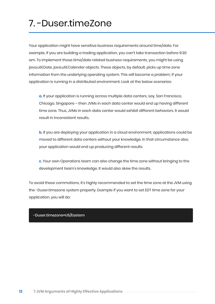# 7. -Duser.timeZone

Your application might have sensitive business requirements around time/date. For example, if you are building a trading application, you can't take transaction before 9:30 am. To implement those time/date related business requirements, you might be using java.util.Date, java.util.Calendar objects. These objects, by default, picks up time zone information from the underlying operating system. This will become a problem; if your application is running in a distributed environment. Look at the below scenarios:

**a.** If your application is running across multiple data centers, say, San Francisco, Chicago, Singapore – then JVMs in each data center would end up having different time zone. Thus, JVMs in each data center would exhibit different behaviors. It would result in inconsistent results.

**b.** If you are deploying your application in a cloud environment, applications could be moved to different data centers without your knowledge. In that circumstance also, your application would end up producing different results.

**c**. Your own Operations team can also change the time zone without bringing to the development team's knowledge. It would also skew the results.

To avoid these commotions, it's highly recommended to set the time zone at the JVM using the -Duser.timezone system property. Example if you want to set EDT time zone for your application, you will do:

#### -Duser.timezone=US/Eastern